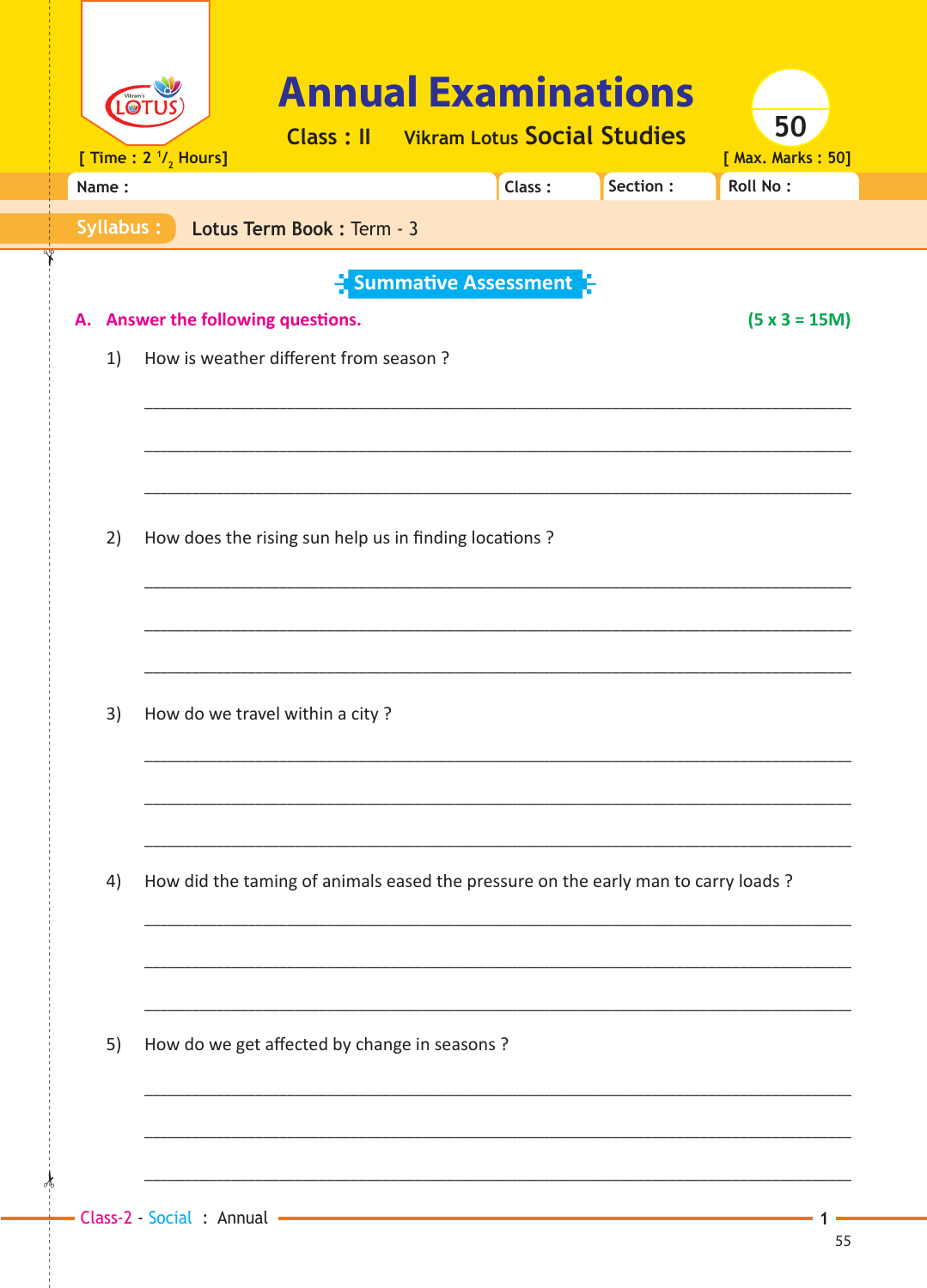| LO <sub>1</sub> | [ Time : $2 \frac{1}{2}$ Hours] | <b>Annual Examinations</b>                                                        | <b>Class: II</b> Vikram Lotus Social Studies |        |          | 50<br>[ Max. Marks: 50] |
|-----------------|---------------------------------|-----------------------------------------------------------------------------------|----------------------------------------------|--------|----------|-------------------------|
| Name:           |                                 |                                                                                   |                                              | Class: | Section: | Roll No:                |
| Syllabus:       |                                 | Lotus Term Book : Term - 3                                                        |                                              |        |          |                         |
| А.<br>1)        |                                 | Answer the following questions.<br>How is weather different from season?          | <b>E</b> Summative Assessment                |        |          | $(5 \times 3 = 15M)$    |
| 2)              |                                 | How does the rising sun help us in finding locations?                             |                                              |        |          |                         |
| 3)              |                                 | How do we travel within a city?                                                   |                                              |        |          |                         |
| 4)              |                                 | How did the taming of animals eased the pressure on the early man to carry loads? |                                              |        |          |                         |
| 5)              |                                 | How do we get affected by change in seasons ?                                     |                                              |        |          |                         |
|                 |                                 |                                                                                   |                                              |        |          |                         |

¥,

1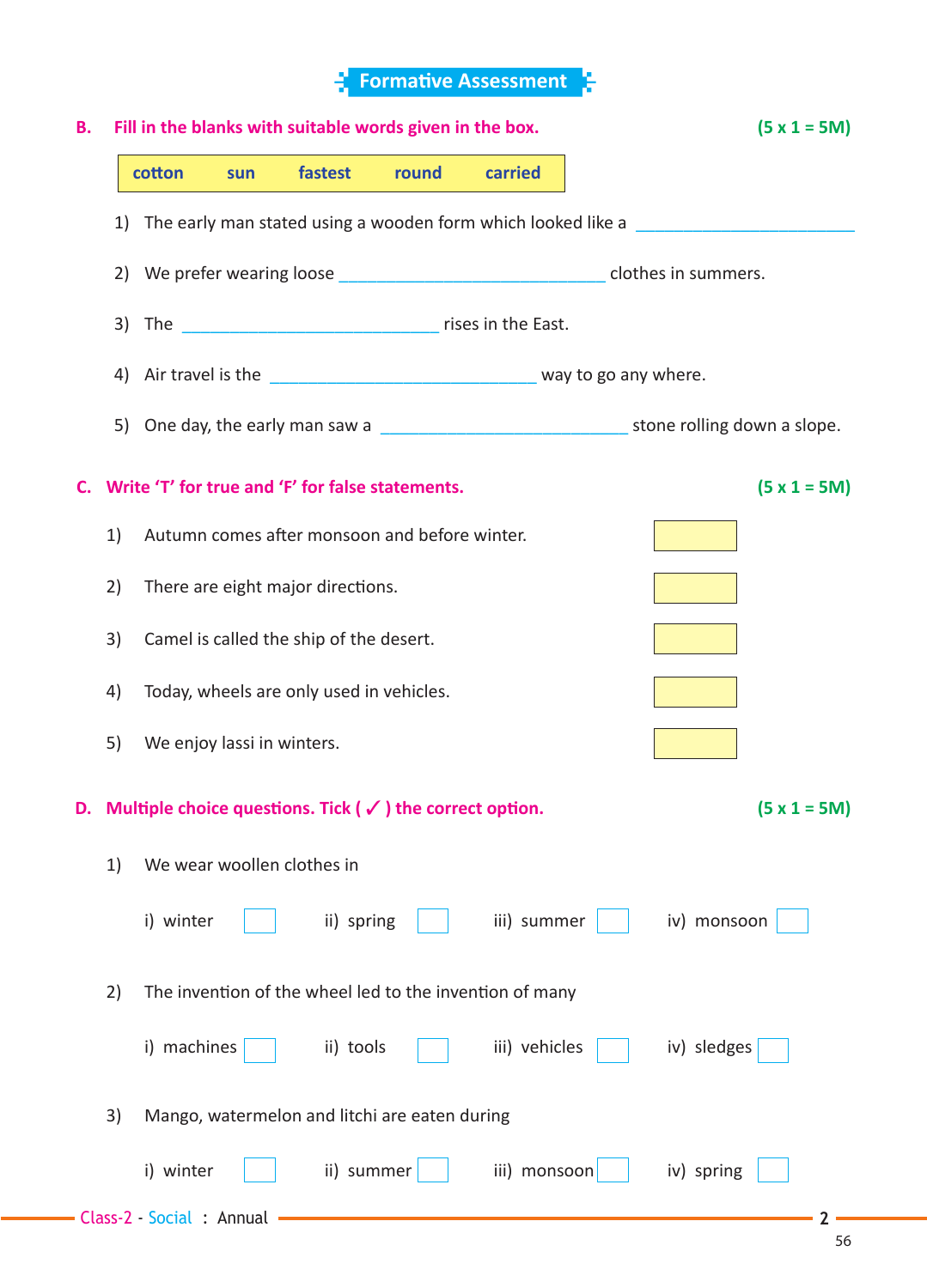## **F** Formative Assessment Я

| В. |    | Fill in the blanks with suitable words given in the box. |     |                                                                                  |       |                                                              |  | $(5 x 1 = 5M)$ |                |  |  |
|----|----|----------------------------------------------------------|-----|----------------------------------------------------------------------------------|-------|--------------------------------------------------------------|--|----------------|----------------|--|--|
|    |    | cotton                                                   | sun | fastest                                                                          | round | carried                                                      |  |                |                |  |  |
|    | 1) |                                                          |     |                                                                                  |       | The early man stated using a wooden form which looked like a |  |                |                |  |  |
|    |    |                                                          |     | 2) We prefer wearing loose __________________________________clothes in summers. |       |                                                              |  |                |                |  |  |
|    | 3) |                                                          |     |                                                                                  |       |                                                              |  |                |                |  |  |
|    |    |                                                          |     |                                                                                  |       |                                                              |  |                |                |  |  |
|    |    |                                                          |     |                                                                                  |       |                                                              |  |                |                |  |  |
| C. |    |                                                          |     | Write 'T' for true and 'F' for false statements.                                 |       |                                                              |  |                | $(5 x 1 = 5M)$ |  |  |
|    | 1) |                                                          |     | Autumn comes after monsoon and before winter.                                    |       |                                                              |  |                |                |  |  |
|    | 2) | There are eight major directions.                        |     |                                                                                  |       |                                                              |  |                |                |  |  |
|    | 3) | Camel is called the ship of the desert.                  |     |                                                                                  |       |                                                              |  |                |                |  |  |
|    | 4) |                                                          |     | Today, wheels are only used in vehicles.                                         |       |                                                              |  |                |                |  |  |
|    | 5) | We enjoy lassi in winters.                               |     |                                                                                  |       |                                                              |  |                |                |  |  |
|    |    |                                                          |     | D. Multiple choice questions. Tick ( $\checkmark$ ) the correct option.          |       |                                                              |  |                | $(5 x 1 = 5M)$ |  |  |
|    | 1) |                                                          |     | We wear woollen clothes in                                                       |       |                                                              |  |                |                |  |  |
|    |    | i) winter                                                |     | ii) spring                                                                       |       | iii) summer                                                  |  | iv) monsoon    |                |  |  |
|    | 2) |                                                          |     |                                                                                  |       | The invention of the wheel led to the invention of many      |  |                |                |  |  |
|    |    | i) machines                                              |     | ii) tools                                                                        |       | iii) vehicles                                                |  | iv) sledges    |                |  |  |
|    | 3) |                                                          |     | Mango, watermelon and litchi are eaten during                                    |       |                                                              |  |                |                |  |  |
|    |    | i) winter                                                |     | ii) summer                                                                       |       | iii) monsoon                                                 |  | iv) spring     |                |  |  |
|    |    | - Class-2 - Social : Annual                              |     |                                                                                  |       |                                                              |  |                |                |  |  |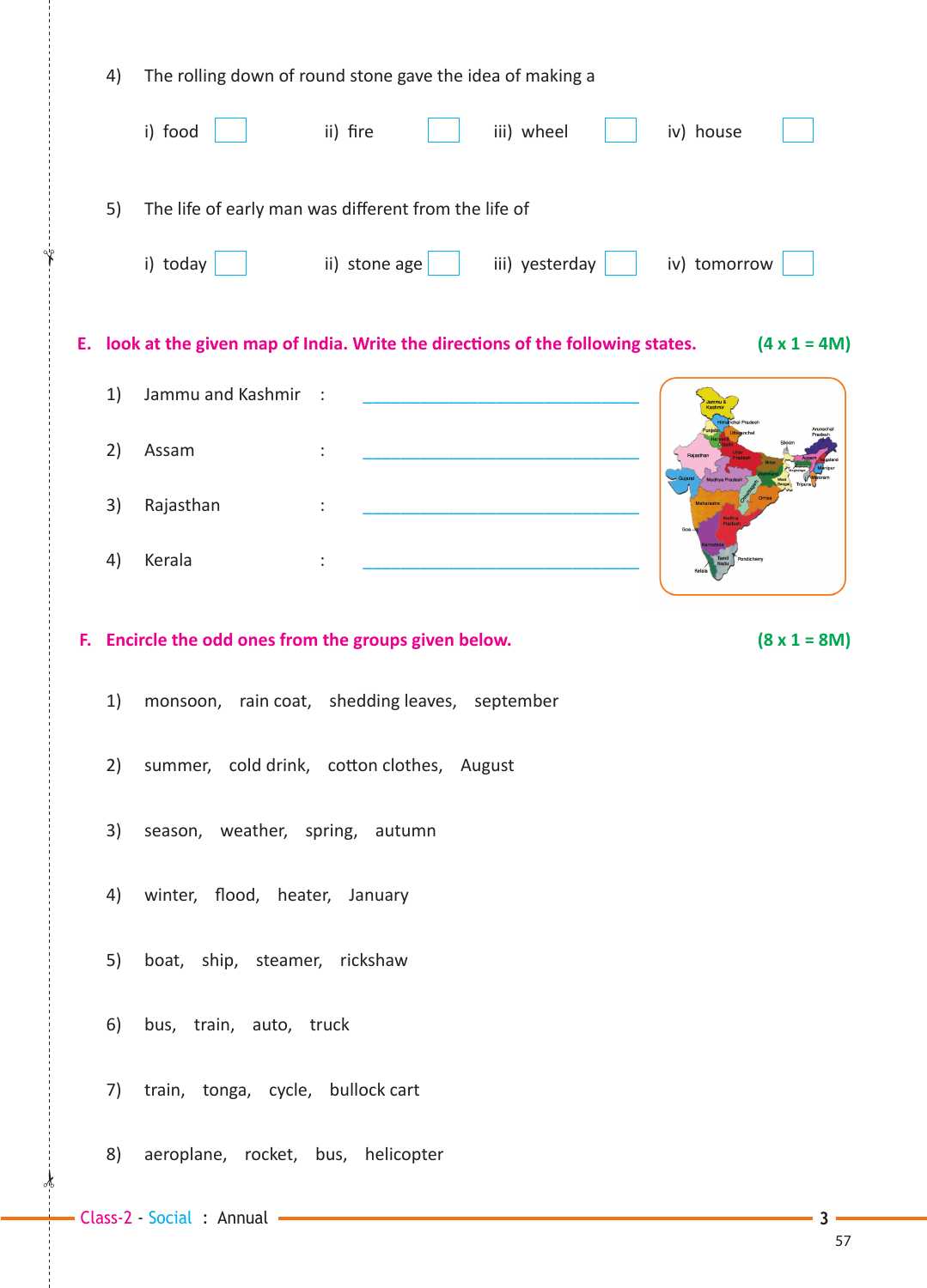| 4) |                                   | The rolling down of round stone gave the idea of making a                        |                     |
|----|-----------------------------------|----------------------------------------------------------------------------------|---------------------|
|    | i) food                           | ii) fire<br>iii) wheel<br>iv) house                                              |                     |
| 5) |                                   | The life of early man was different from the life of                             |                     |
|    | i) today                          | ii) stone age $\vert$<br>iii) yesterday<br>iv) tomorrow                          |                     |
|    |                                   | E. look at the given map of India. Write the directions of the following states. | $(4 \times 1 = 4M)$ |
| 1) | Jammu and Kashmir                 | $\sim$ 1                                                                         |                     |
| 2) | Assam                             |                                                                                  |                     |
| 3) | Rajasthan                         |                                                                                  |                     |
| 4) | Kerala                            |                                                                                  |                     |
|    |                                   |                                                                                  |                     |
|    |                                   | F. Encircle the odd ones from the groups given below.                            | $(8 \times 1 = 8M)$ |
| 1) |                                   | monsoon, rain coat, shedding leaves, september                                   |                     |
|    |                                   | 2) summer, cold drink, cotton clothes, August                                    |                     |
| 3) | season, weather, spring, autumn   |                                                                                  |                     |
|    | 4) winter, flood, heater, January |                                                                                  |                     |
| 5) | boat, ship, steamer, rickshaw     |                                                                                  |                     |
| 6) | bus, train, auto, truck           |                                                                                  |                     |
| 7) | train, tonga, cycle, bullock cart |                                                                                  |                     |

✁

✁